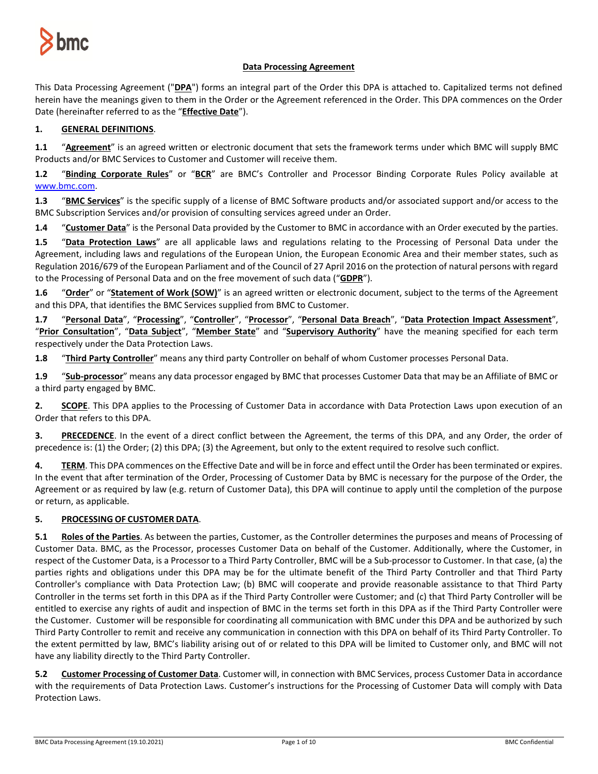

# **Data Processing Agreement**

This Data Processing Agreement ("**DPA**") forms an integral part of the Order this DPA is attached to. Capitalized terms not defined herein have the meanings given to them in the Order or the Agreement referenced in the Order. This DPA commences on the Order Date (hereinafter referred to as the "**Effective Date**").

# **1. GENERAL DEFINITIONS**.

**1.1** "**Agreement**" is an agreed written or electronic document that sets the framework terms under which BMC will supply BMC Products and/or BMC Services to Customer and Customer will receive them.

**1.2** "**Binding Corporate Rules**" or "**BCR**" are BMC's Controller and Processor Binding Corporate Rules Policy available at [www.bmc.com.](http://www.bmc.com/)

**1.3** "**BMC Services**" is the specific supply of a license of BMC Software products and/or associated support and/or access to the BMC Subscription Services and/or provision of consulting services agreed under an Order.

**1.4** "**Customer Data**" is the Personal Data provided by the Customer to BMC in accordance with an Order executed by the parties.

**1.5** "**Data Protection Laws**" are all applicable laws and regulations relating to the Processing of Personal Data under the Agreement, including laws and regulations of the European Union, the European Economic Area and their member states, such as Regulation 2016/679 of the European Parliament and of the Council of 27 April 2016 on the protection of natural persons with regard to the Processing of Personal Data and on the free movement of such data ("**GDPR**").

**1.6** "**Order**" or "**Statement of Work (SOW)**" is an agreed written or electronic document, subject to the terms of the Agreement and this DPA, that identifies the BMC Services supplied from BMC to Customer.

**1.7** "**Personal Data**", "**Processing**", "**Controller**", "**Processor**", "**Personal Data Breach**", "**Data Protection Impact Assessment**", "**Prior Consultation**", "**Data Subject**", "**Member State**" and "**Supervisory Authority**" have the meaning specified for each term respectively under the Data Protection Laws.

**1.8** "**Third Party Controller**" means any third party Controller on behalf of whom Customer processes Personal Data.

**1.9** "**Sub-processor**" means any data processor engaged by BMC that processes Customer Data that may be an Affiliate of BMC or a third party engaged by BMC.

**2. SCOPE**. This DPA applies to the Processing of Customer Data in accordance with Data Protection Laws upon execution of an Order that refers to this DPA.

**3. PRECEDENCE**. In the event of a direct conflict between the Agreement, the terms of this DPA, and any Order, the order of precedence is: (1) the Order; (2) this DPA; (3) the Agreement, but only to the extent required to resolve such conflict.

**4. TERM**. This DPA commences on the Effective Date and will be in force and effect until the Order has been terminated or expires. In the event that after termination of the Order, Processing of Customer Data by BMC is necessary for the purpose of the Order, the Agreement or as required by law (e.g. return of Customer Data), this DPA will continue to apply until the completion of the purpose or return, as applicable.

## **5. PROCESSING OF CUSTOMER DATA**.

**5.1 Roles of the Parties**. As between the parties, Customer, as the Controller determines the purposes and means of Processing of Customer Data. BMC, as the Processor, processes Customer Data on behalf of the Customer. Additionally, where the Customer, in respect of the Customer Data, is a Processor to a Third Party Controller, BMC will be a Sub-processor to Customer. In that case, (a) the parties rights and obligations under this DPA may be for the ultimate benefit of the Third Party Controller and that Third Party Controller's compliance with Data Protection Law; (b) BMC will cooperate and provide reasonable assistance to that Third Party Controller in the terms set forth in this DPA as if the Third Party Controller were Customer; and (c) that Third Party Controller will be entitled to exercise any rights of audit and inspection of BMC in the terms set forth in this DPA as if the Third Party Controller were the Customer. Customer will be responsible for coordinating all communication with BMC under this DPA and be authorized by such Third Party Controller to remit and receive any communication in connection with this DPA on behalf of its Third Party Controller. To the extent permitted by law, BMC's liability arising out of or related to this DPA will be limited to Customer only, and BMC will not have any liability directly to the Third Party Controller.

**5.2 Customer Processing of Customer Data**. Customer will, in connection with BMC Services, process Customer Data in accordance with the requirements of Data Protection Laws. Customer's instructions for the Processing of Customer Data will comply with Data Protection Laws.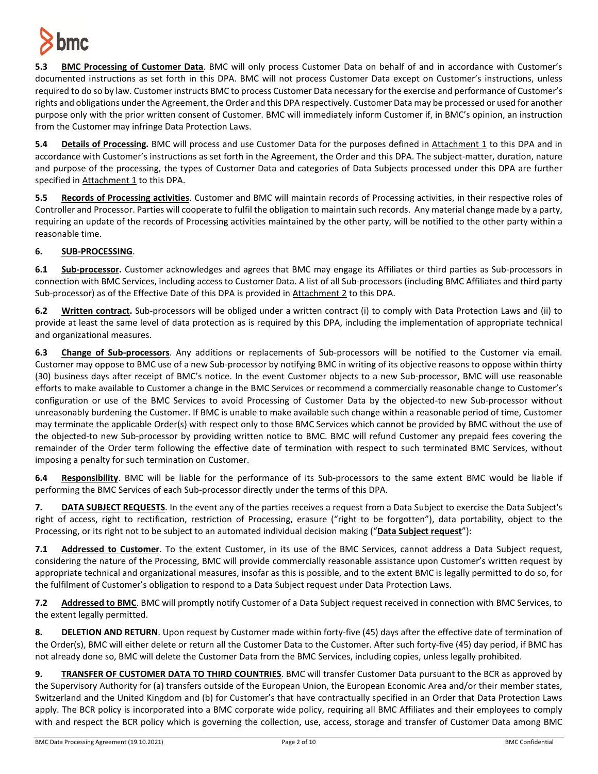

**5.3 BMC Processing of Customer Data**. BMC will only process Customer Data on behalf of and in accordance with Customer's documented instructions as set forth in this DPA. BMC will not process Customer Data except on Customer's instructions, unless required to do so by law. Customer instructs BMC to process Customer Data necessary for the exercise and performance of Customer's rights and obligations under the Agreement, the Order and this DPA respectively. Customer Data may be processed or used for another purpose only with the prior written consent of Customer. BMC will immediately inform Customer if, in BMC's opinion, an instruction from the Customer may infringe Data Protection Laws.

**5.4 Details of Processing.** BMC will process and use Customer Data for the purposes defined in Attachment 1 to this DPA and in accordance with Customer's instructions as set forth in the Agreement, the Order and this DPA. The subject-matter, duration, nature and purpose of the processing, the types of Customer Data and categories of Data Subjects processed under this DPA are further specified in Attachment 1 to this DPA.

**5.5 Records of Processing activities**. Customer and BMC will maintain records of Processing activities, in their respective roles of Controller and Processor. Parties will cooperate to fulfil the obligation to maintain such records. Any material change made by a party, requiring an update of the records of Processing activities maintained by the other party, will be notified to the other party within a reasonable time.

# **6. SUB-PROCESSING**.

**6.1 Sub-processor.** Customer acknowledges and agrees that BMC may engage its Affiliates or third parties as Sub-processors in connection with BMC Services, including access to Customer Data. A list of all Sub-processors (including BMC Affiliates and third party Sub-processor) as of the Effective Date of this DPA is provided in Attachment 2 to this DPA.

**6.2 Written contract.** Sub-processors will be obliged under a written contract (i) to comply with Data Protection Laws and (ii) to provide at least the same level of data protection as is required by this DPA, including the implementation of appropriate technical and organizational measures.

**6.3 Change of Sub-processors**. Any additions or replacements of Sub-processors will be notified to the Customer via email. Customer may oppose to BMC use of a new Sub-processor by notifying BMC in writing of its objective reasons to oppose within thirty (30) business days after receipt of BMC's notice. In the event Customer objects to a new Sub-processor, BMC will use reasonable efforts to make available to Customer a change in the BMC Services or recommend a commercially reasonable change to Customer's configuration or use of the BMC Services to avoid Processing of Customer Data by the objected-to new Sub-processor without unreasonably burdening the Customer. If BMC is unable to make available such change within a reasonable period of time, Customer may terminate the applicable Order(s) with respect only to those BMC Services which cannot be provided by BMC without the use of the objected-to new Sub-processor by providing written notice to BMC. BMC will refund Customer any prepaid fees covering the remainder of the Order term following the effective date of termination with respect to such terminated BMC Services, without imposing a penalty for such termination on Customer.

**6.4 Responsibility**. BMC will be liable for the performance of its Sub-processors to the same extent BMC would be liable if performing the BMC Services of each Sub-processor directly under the terms of this DPA.

**7. DATA SUBJECT REQUESTS**. In the event any of the parties receives a request from a Data Subject to exercise the Data Subject's right of access, right to rectification, restriction of Processing, erasure ("right to be forgotten"), data portability, object to the Processing, or its right not to be subject to an automated individual decision making ("**Data Subject request**"):

**7.1 Addressed to Customer**. To the extent Customer, in its use of the BMC Services, cannot address a Data Subject request, considering the nature of the Processing, BMC will provide commercially reasonable assistance upon Customer's written request by appropriate technical and organizational measures, insofar as this is possible, and to the extent BMC is legally permitted to do so, for the fulfilment of Customer's obligation to respond to a Data Subject request under Data Protection Laws.

**7.2 Addressed to BMC**. BMC will promptly notify Customer of a Data Subject request received in connection with BMC Services, to the extent legally permitted.

**8. DELETION AND RETURN**. Upon request by Customer made within forty-five (45) days after the effective date of termination of the Order(s), BMC will either delete or return all the Customer Data to the Customer. After such forty-five (45) day period, if BMC has not already done so, BMC will delete the Customer Data from the BMC Services, including copies, unless legally prohibited.

**9. TRANSFER OF CUSTOMER DATA TO THIRD COUNTRIES**. BMC will transfer Customer Data pursuant to the BCR as approved by the Supervisory Authority for (a) transfers outside of the European Union, the European Economic Area and/or their member states, Switzerland and the United Kingdom and (b) for Customer's that have contractually specified in an Order that Data Protection Laws apply. The BCR policy is incorporated into a BMC corporate wide policy, requiring all BMC Affiliates and their employees to comply with and respect the BCR policy which is governing the collection, use, access, storage and transfer of Customer Data among BMC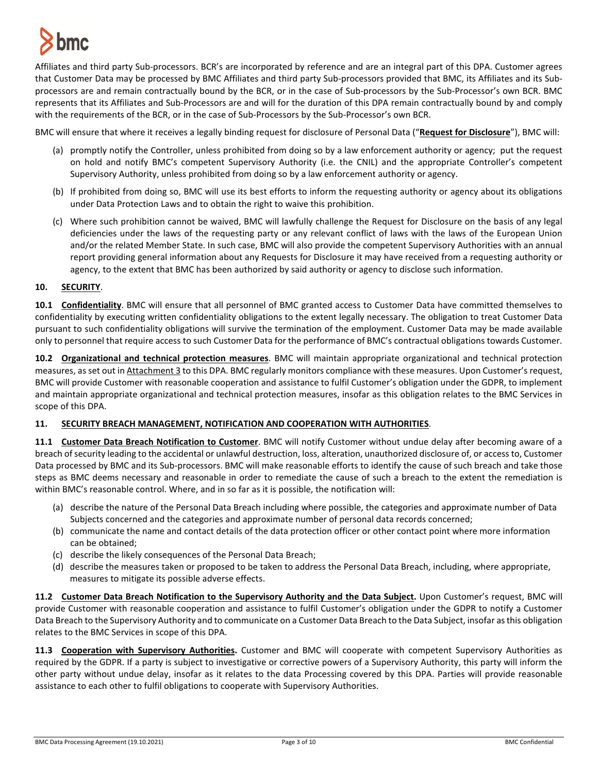

Affiliates and third party Sub-processors. BCR's are incorporated by reference and are an integral part of this DPA. Customer agrees that Customer Data may be processed by BMC Affiliates and third party Sub-processors provided that BMC, its Affiliates and its Subprocessors are and remain contractually bound by the BCR, or in the case of Sub-processors by the Sub-Processor's own BCR. BMC represents that its Affiliates and Sub-Processors are and will for the duration of this DPA remain contractually bound by and comply with the requirements of the BCR, or in the case of Sub-Processors by the Sub-Processor's own BCR.

BMC will ensure that where it receives a legally binding request for disclosure of Personal Data ("**Request for Disclosure**"), BMC will:

- (a) promptly notify the Controller, unless prohibited from doing so by a law enforcement authority or agency; put the request on hold and notify BMC's competent Supervisory Authority (i.e. the CNIL) and the appropriate Controller's competent Supervisory Authority, unless prohibited from doing so by a law enforcement authority or agency.
- (b) If prohibited from doing so, BMC will use its best efforts to inform the requesting authority or agency about its obligations under Data Protection Laws and to obtain the right to waive this prohibition.
- (c) Where such prohibition cannot be waived, BMC will lawfully challenge the Request for Disclosure on the basis of any legal deficiencies under the laws of the requesting party or any relevant conflict of laws with the laws of the European Union and/or the related Member State. In such case, BMC will also provide the competent Supervisory Authorities with an annual report providing general information about any Requests for Disclosure it may have received from a requesting authority or agency, to the extent that BMC has been authorized by said authority or agency to disclose such information.

## **10. SECURITY**.

**10.1 Confidentiality**. BMC will ensure that all personnel of BMC granted access to Customer Data have committed themselves to confidentiality by executing written confidentiality obligations to the extent legally necessary. The obligation to treat Customer Data pursuant to such confidentiality obligations will survive the termination of the employment. Customer Data may be made available only to personnel that require access to such Customer Data for the performance of BMC's contractual obligations towards Customer.

**10.2 Organizational and technical protection measures**. BMC will maintain appropriate organizational and technical protection measures, as set out in Attachment 3 to this DPA. BMC regularly monitors compliance with these measures. Upon Customer's request, BMC will provide Customer with reasonable cooperation and assistance to fulfil Customer's obligation under the GDPR, to implement and maintain appropriate organizational and technical protection measures, insofar as this obligation relates to the BMC Services in scope of this DPA.

## **11. SECURITY BREACH MANAGEMENT, NOTIFICATION AND COOPERATION WITH AUTHORITIES**.

**11.1 Customer Data Breach Notification to Customer**. BMC will notify Customer without undue delay after becoming aware of a breach of security leading to the accidental or unlawful destruction, loss, alteration, unauthorized disclosure of, or access to, Customer Data processed by BMC and its Sub-processors. BMC will make reasonable efforts to identify the cause of such breach and take those steps as BMC deems necessary and reasonable in order to remediate the cause of such a breach to the extent the remediation is within BMC's reasonable control. Where, and in so far as it is possible, the notification will:

- (a) describe the nature of the Personal Data Breach including where possible, the categories and approximate number of Data Subjects concerned and the categories and approximate number of personal data records concerned;
- (b) communicate the name and contact details of the data protection officer or other contact point where more information can be obtained;
- (c) describe the likely consequences of the Personal Data Breach;
- (d) describe the measures taken or proposed to be taken to address the Personal Data Breach, including, where appropriate, measures to mitigate its possible adverse effects.

**11.2 Customer Data Breach Notification to the Supervisory Authority and the Data Subject.** Upon Customer's request, BMC will provide Customer with reasonable cooperation and assistance to fulfil Customer's obligation under the GDPR to notify a Customer Data Breach to the Supervisory Authority and to communicate on a Customer Data Breach to the Data Subject, insofar as this obligation relates to the BMC Services in scope of this DPA.

**11.3 Cooperation with Supervisory Authorities.** Customer and BMC will cooperate with competent Supervisory Authorities as required by the GDPR. If a party is subject to investigative or corrective powers of a Supervisory Authority, this party will inform the other party without undue delay, insofar as it relates to the data Processing covered by this DPA. Parties will provide reasonable assistance to each other to fulfil obligations to cooperate with Supervisory Authorities.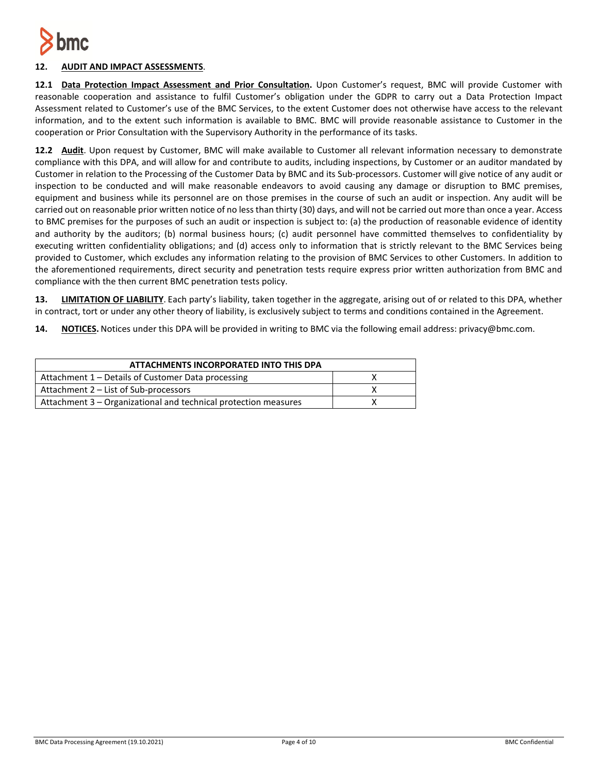

# **12. AUDIT AND IMPACT ASSESSMENTS**.

**12.1 Data Protection Impact Assessment and Prior Consultation.** Upon Customer's request, BMC will provide Customer with reasonable cooperation and assistance to fulfil Customer's obligation under the GDPR to carry out a Data Protection Impact Assessment related to Customer's use of the BMC Services, to the extent Customer does not otherwise have access to the relevant information, and to the extent such information is available to BMC. BMC will provide reasonable assistance to Customer in the cooperation or Prior Consultation with the Supervisory Authority in the performance of its tasks.

**12.2 Audit**. Upon request by Customer, BMC will make available to Customer all relevant information necessary to demonstrate compliance with this DPA, and will allow for and contribute to audits, including inspections, by Customer or an auditor mandated by Customer in relation to the Processing of the Customer Data by BMC and its Sub-processors. Customer will give notice of any audit or inspection to be conducted and will make reasonable endeavors to avoid causing any damage or disruption to BMC premises, equipment and business while its personnel are on those premises in the course of such an audit or inspection. Any audit will be carried out on reasonable prior written notice of no less than thirty (30) days, and will not be carried out more than once a year. Access to BMC premises for the purposes of such an audit or inspection is subject to: (a) the production of reasonable evidence of identity and authority by the auditors; (b) normal business hours; (c) audit personnel have committed themselves to confidentiality by executing written confidentiality obligations; and (d) access only to information that is strictly relevant to the BMC Services being provided to Customer, which excludes any information relating to the provision of BMC Services to other Customers. In addition to the aforementioned requirements, direct security and penetration tests require express prior written authorization from BMC and compliance with the then current BMC penetration tests policy.

**13. LIMITATION OF LIABILITY**. Each party's liability, taken together in the aggregate, arising out of or related to this DPA, whether in contract, tort or under any other theory of liability, is exclusively subject to terms and conditions contained in the Agreement.

**14. NOTICES.** Notices under this DPA will be provided in writing to BMC via the following email address: privacy@bmc.com.

| ATTACHMENTS INCORPORATED INTO THIS DPA                          |  |  |
|-----------------------------------------------------------------|--|--|
| Attachment 1 – Details of Customer Data processing              |  |  |
| Attachment 2 – List of Sub-processors                           |  |  |
| Attachment 3 - Organizational and technical protection measures |  |  |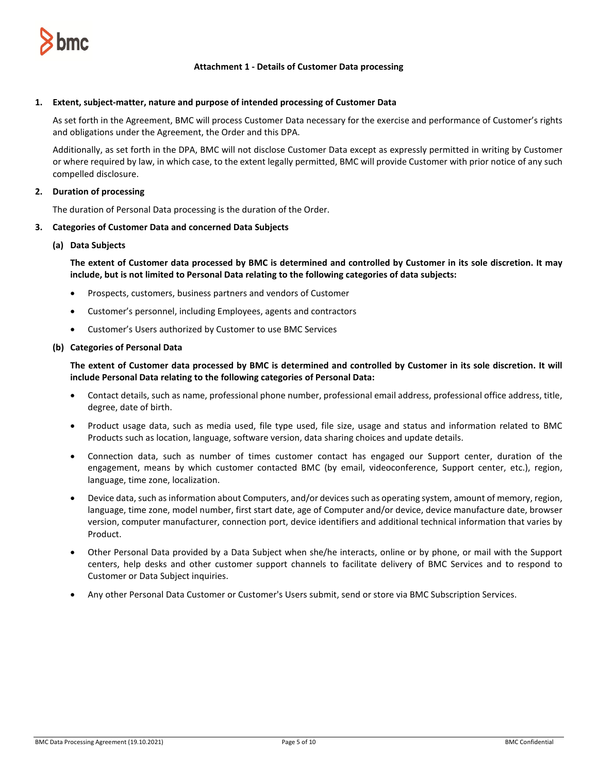

### **Attachment 1 - Details of Customer Data processing**

#### **1. Extent, subject-matter, nature and purpose of intended processing of Customer Data**

As set forth in the Agreement, BMC will process Customer Data necessary for the exercise and performance of Customer's rights and obligations under the Agreement, the Order and this DPA.

Additionally, as set forth in the DPA, BMC will not disclose Customer Data except as expressly permitted in writing by Customer or where required by law, in which case, to the extent legally permitted, BMC will provide Customer with prior notice of any such compelled disclosure.

#### **2. Duration of processing**

The duration of Personal Data processing is the duration of the Order.

#### **3. Categories of Customer Data and concerned Data Subjects**

#### **(a) Data Subjects**

**The extent of Customer data processed by BMC is determined and controlled by Customer in its sole discretion. It may include, but is not limited to Personal Data relating to the following categories of data subjects:**

- Prospects, customers, business partners and vendors of Customer
- Customer's personnel, including Employees, agents and contractors
- Customer's Users authorized by Customer to use BMC Services

#### **(b) Categories of Personal Data**

**The extent of Customer data processed by BMC is determined and controlled by Customer in its sole discretion. It will include Personal Data relating to the following categories of Personal Data:**

- Contact details, such as name, professional phone number, professional email address, professional office address, title, degree, date of birth.
- Product usage data, such as media used, file type used, file size, usage and status and information related to BMC Products such as location, language, software version, data sharing choices and update details.
- Connection data, such as number of times customer contact has engaged our Support center, duration of the engagement, means by which customer contacted BMC (by email, videoconference, Support center, etc.), region, language, time zone, localization.
- Device data, such as information about Computers, and/or devices such as operating system, amount of memory, region, language, time zone, model number, first start date, age of Computer and/or device, device manufacture date, browser version, computer manufacturer, connection port, device identifiers and additional technical information that varies by Product.
- Other Personal Data provided by a Data Subject when she/he interacts, online or by phone, or mail with the Support centers, help desks and other customer support channels to facilitate delivery of BMC Services and to respond to Customer or Data Subject inquiries.
- Any other Personal Data Customer or Customer's Users submit, send or store via BMC Subscription Services.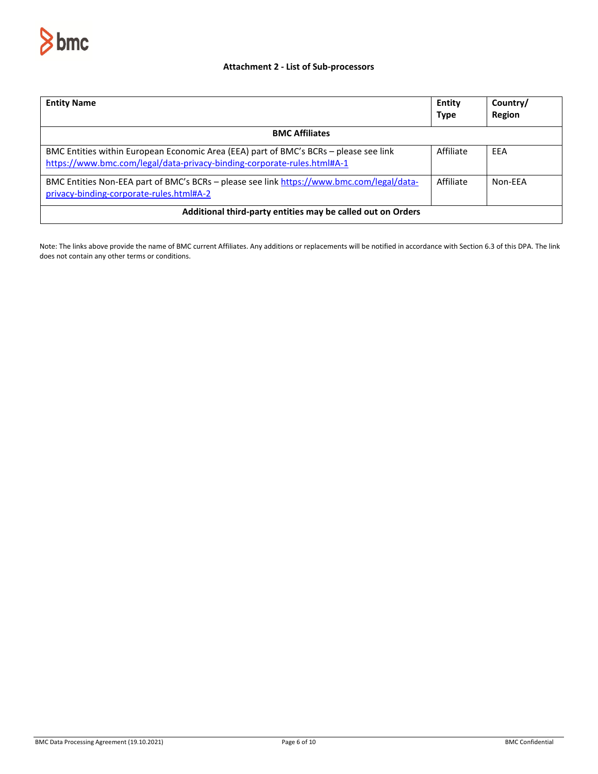

## **Attachment 2 - List of Sub-processors**

| <b>Entity Name</b>                                                                                                                                               | Entity<br><b>Type</b> | Country/<br><b>Region</b> |  |
|------------------------------------------------------------------------------------------------------------------------------------------------------------------|-----------------------|---------------------------|--|
| <b>BMC Affiliates</b>                                                                                                                                            |                       |                           |  |
| BMC Entities within European Economic Area (EEA) part of BMC's BCRs - please see link<br>https://www.bmc.com/legal/data-privacy-binding-corporate-rules.html#A-1 | Affiliate             | EEA                       |  |
| BMC Entities Non-EEA part of BMC's BCRs - please see link https://www.bmc.com/legal/data-<br>privacy-binding-corporate-rules.html#A-2                            | Affiliate             | Non-FFA                   |  |
| Additional third-party entities may be called out on Orders                                                                                                      |                       |                           |  |

Note: The links above provide the name of BMC current Affiliates. Any additions or replacements will be notified in accordance with Section 6.3 of this DPA. The link does not contain any other terms or conditions.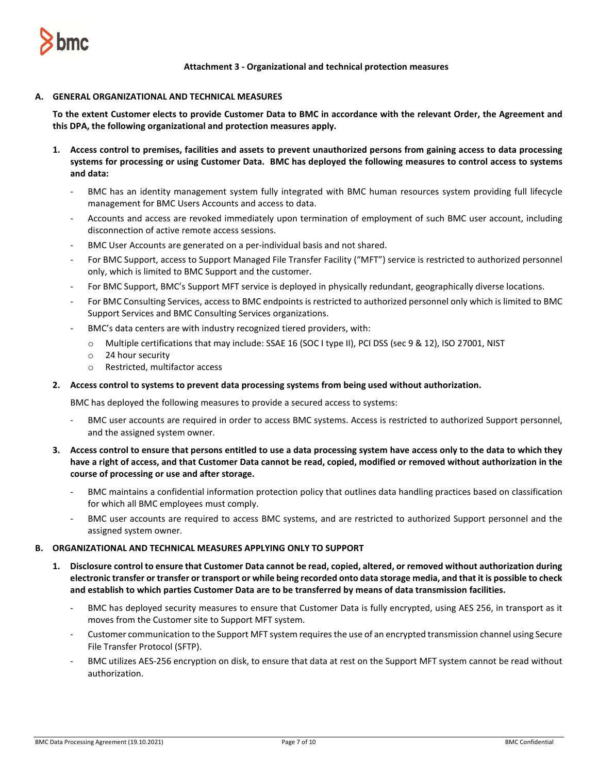

**Attachment 3 - Organizational and technical protection measures**

#### **A. GENERAL ORGANIZATIONAL AND TECHNICAL MEASURES**

**To the extent Customer elects to provide Customer Data to BMC in accordance with the relevant Order, the Agreement and this DPA, the following organizational and protection measures apply.** 

- **1. Access control to premises, facilities and assets to prevent unauthorized persons from gaining access to data processing systems for processing or using Customer Data. BMC has deployed the following measures to control access to systems and data:**
	- BMC has an identity management system fully integrated with BMC human resources system providing full lifecycle management for BMC Users Accounts and access to data.
	- Accounts and access are revoked immediately upon termination of employment of such BMC user account, including disconnection of active remote access sessions.
	- BMC User Accounts are generated on a per-individual basis and not shared.
	- For BMC Support, access to Support Managed File Transfer Facility ("MFT") service is restricted to authorized personnel only, which is limited to BMC Support and the customer.
	- For BMC Support, BMC's Support MFT service is deployed in physically redundant, geographically diverse locations.
	- For BMC Consulting Services, access to BMC endpoints is restricted to authorized personnel only which is limited to BMC Support Services and BMC Consulting Services organizations.
	- BMC's data centers are with industry recognized tiered providers, with:
		- o Multiple certifications that may include: SSAE 16 (SOC I type II), PCI DSS (sec 9 & 12), ISO 27001, NIST
		- o 24 hour security
		- o Restricted, multifactor access

#### **2. Access control to systems to prevent data processing systems from being used without authorization.**

BMC has deployed the following measures to provide a secured access to systems:

- BMC user accounts are required in order to access BMC systems. Access is restricted to authorized Support personnel, and the assigned system owner.
- **3. Access control to ensure that persons entitled to use a data processing system have access only to the data to which they have a right of access, and that Customer Data cannot be read, copied, modified or removed without authorization in the course of processing or use and after storage.**
	- BMC maintains a confidential information protection policy that outlines data handling practices based on classification for which all BMC employees must comply.
	- BMC user accounts are required to access BMC systems, and are restricted to authorized Support personnel and the assigned system owner.

#### **B. ORGANIZATIONAL AND TECHNICAL MEASURES APPLYING ONLY TO SUPPORT**

- **1. Disclosure control to ensure that Customer Data cannot be read, copied, altered, or removed without authorization during electronic transfer or transfer or transport or while being recorded onto data storage media, and that it is possible to check and establish to which parties Customer Data are to be transferred by means of data transmission facilities.** 
	- BMC has deployed security measures to ensure that Customer Data is fully encrypted, using AES 256, in transport as it moves from the Customer site to Support MFT system.
	- Customer communication to the Support MFT system requires the use of an encrypted transmission channel using Secure File Transfer Protocol (SFTP).
	- BMC utilizes AES-256 encryption on disk, to ensure that data at rest on the Support MFT system cannot be read without authorization.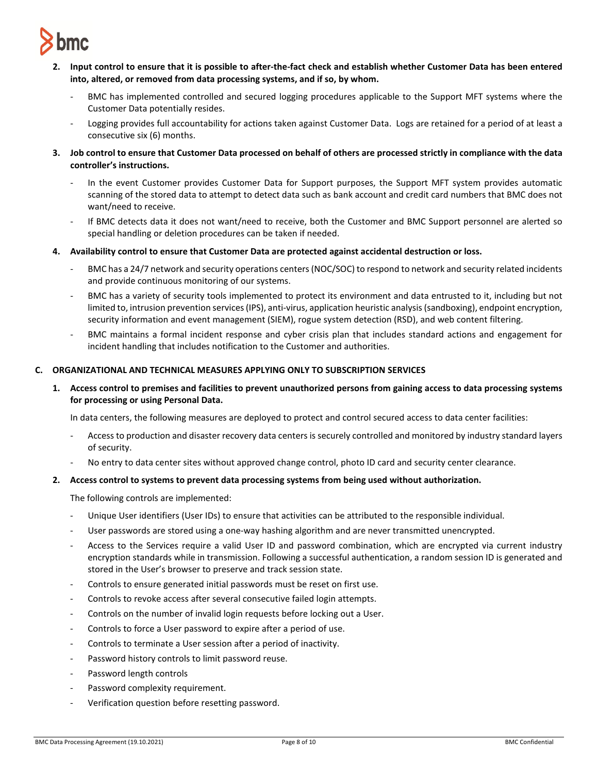

- **2. Input control to ensure that it is possible to after-the-fact check and establish whether Customer Data has been entered into, altered, or removed from data processing systems, and if so, by whom.** 
	- BMC has implemented controlled and secured logging procedures applicable to the Support MFT systems where the Customer Data potentially resides.
	- Logging provides full accountability for actions taken against Customer Data. Logs are retained for a period of at least a consecutive six (6) months.
- **3. Job control to ensure that Customer Data processed on behalf of others are processed strictly in compliance with the data controller's instructions.** 
	- In the event Customer provides Customer Data for Support purposes, the Support MFT system provides automatic scanning of the stored data to attempt to detect data such as bank account and credit card numbers that BMC does not want/need to receive.
	- If BMC detects data it does not want/need to receive, both the Customer and BMC Support personnel are alerted so special handling or deletion procedures can be taken if needed.
- **4. Availability control to ensure that Customer Data are protected against accidental destruction or loss.** 
	- BMC has a 24/7 network and security operations centers (NOC/SOC) to respond to network and security related incidents and provide continuous monitoring of our systems.
	- BMC has a variety of security tools implemented to protect its environment and data entrusted to it, including but not limited to, intrusion prevention services (IPS), anti-virus, application heuristic analysis (sandboxing), endpoint encryption, security information and event management (SIEM), rogue system detection (RSD), and web content filtering.
	- BMC maintains a formal incident response and cyber crisis plan that includes standard actions and engagement for incident handling that includes notification to the Customer and authorities.

## **C. ORGANIZATIONAL AND TECHNICAL MEASURES APPLYING ONLY TO SUBSCRIPTION SERVICES**

**1. Access control to premises and facilities to prevent unauthorized persons from gaining access to data processing systems for processing or using Personal Data.**

In data centers, the following measures are deployed to protect and control secured access to data center facilities:

- Access to production and disaster recovery data centers is securely controlled and monitored by industry standard layers of security.
- No entry to data center sites without approved change control, photo ID card and security center clearance.

## **2. Access control to systems to prevent data processing systems from being used without authorization.**

The following controls are implemented:

- Unique User identifiers (User IDs) to ensure that activities can be attributed to the responsible individual.
- User passwords are stored using a one-way hashing algorithm and are never transmitted unencrypted.
- Access to the Services require a valid User ID and password combination, which are encrypted via current industry encryption standards while in transmission. Following a successful authentication, a random session ID is generated and stored in the User's browser to preserve and track session state.
- Controls to ensure generated initial passwords must be reset on first use.
- Controls to revoke access after several consecutive failed login attempts.
- Controls on the number of invalid login requests before locking out a User.
- Controls to force a User password to expire after a period of use.
- Controls to terminate a User session after a period of inactivity.
- Password history controls to limit password reuse.
- Password length controls
- Password complexity requirement.
- Verification question before resetting password.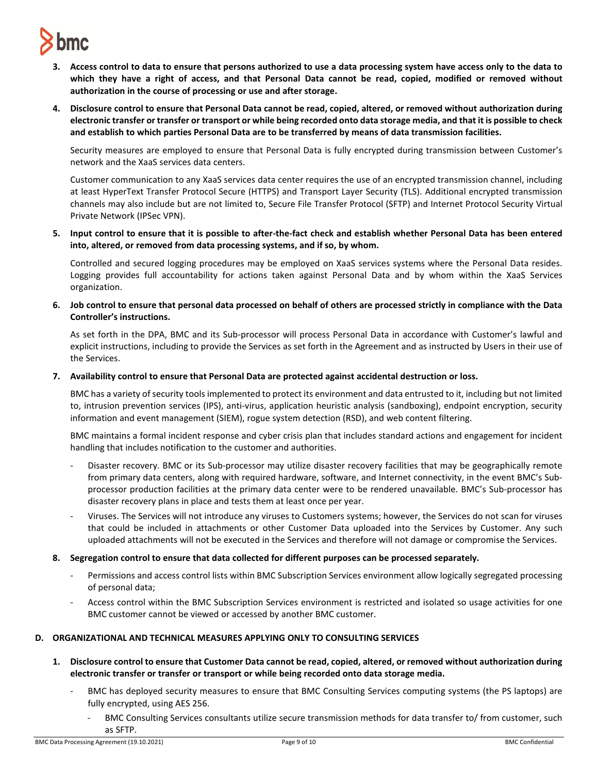# **bmc**

- **3. Access control to data to ensure that persons authorized to use a data processing system have access only to the data to which they have a right of access, and that Personal Data cannot be read, copied, modified or removed without authorization in the course of processing or use and after storage.**
- **4. Disclosure control to ensure that Personal Data cannot be read, copied, altered, or removed without authorization during electronic transfer or transfer or transport or while being recorded onto data storage media, and that it is possible to check and establish to which parties Personal Data are to be transferred by means of data transmission facilities.**

Security measures are employed to ensure that Personal Data is fully encrypted during transmission between Customer's network and the XaaS services data centers.

Customer communication to any XaaS services data center requires the use of an encrypted transmission channel, including at least HyperText Transfer Protocol Secure (HTTPS) and Transport Layer Security (TLS). Additional encrypted transmission channels may also include but are not limited to, Secure File Transfer Protocol (SFTP) and Internet Protocol Security Virtual Private Network (IPSec VPN).

**5. Input control to ensure that it is possible to after-the-fact check and establish whether Personal Data has been entered into, altered, or removed from data processing systems, and if so, by whom.**

Controlled and secured logging procedures may be employed on XaaS services systems where the Personal Data resides. Logging provides full accountability for actions taken against Personal Data and by whom within the XaaS Services organization.

**6. Job control to ensure that personal data processed on behalf of others are processed strictly in compliance with the Data Controller's instructions.**

As set forth in the DPA, BMC and its Sub-processor will process Personal Data in accordance with Customer's lawful and explicit instructions, including to provide the Services as set forth in the Agreement and as instructed by Users in their use of the Services.

**7. Availability control to ensure that Personal Data are protected against accidental destruction or loss.**

BMC has a variety of security tools implemented to protect its environment and data entrusted to it, including but not limited to, intrusion prevention services (IPS), anti-virus, application heuristic analysis (sandboxing), endpoint encryption, security information and event management (SIEM), rogue system detection (RSD), and web content filtering.

BMC maintains a formal incident response and cyber crisis plan that includes standard actions and engagement for incident handling that includes notification to the customer and authorities.

- Disaster recovery. BMC or its Sub-processor may utilize disaster recovery facilities that may be geographically remote from primary data centers, along with required hardware, software, and Internet connectivity, in the event BMC's Subprocessor production facilities at the primary data center were to be rendered unavailable. BMC's Sub-processor has disaster recovery plans in place and tests them at least once per year.
- Viruses. The Services will not introduce any viruses to Customers systems; however, the Services do not scan for viruses that could be included in attachments or other Customer Data uploaded into the Services by Customer. Any such uploaded attachments will not be executed in the Services and therefore will not damage or compromise the Services.
- **8. Segregation control to ensure that data collected for different purposes can be processed separately.** 
	- Permissions and access control lists within BMC Subscription Services environment allow logically segregated processing of personal data;
	- Access control within the BMC Subscription Services environment is restricted and isolated so usage activities for one BMC customer cannot be viewed or accessed by another BMC customer.

## **D. ORGANIZATIONAL AND TECHNICAL MEASURES APPLYING ONLY TO CONSULTING SERVICES**

- **1. Disclosure control to ensure that Customer Data cannot be read, copied, altered, or removed without authorization during electronic transfer or transfer or transport or while being recorded onto data storage media.**
	- BMC has deployed security measures to ensure that BMC Consulting Services computing systems (the PS laptops) are fully encrypted, using AES 256.
		- BMC Consulting Services consultants utilize secure transmission methods for data transfer to/ from customer, such as SFTP.